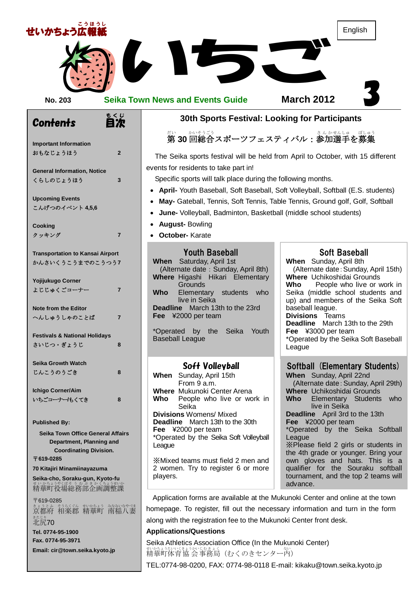

homepage. To register, fill out the necessary information and turn in the form along with the registration fee to the Mukunoki Center front desk.

#### **Applications/Questions**

まょうとふ もうくぐん むかあょう なみいなやづま<br>京都府 相楽郡 精華町 南稲八妻

**Email: cir@town.seika.kyoto.jp**

<sub>きたじり</sub><br>北尻**70** 

**Tel. 0774-95-1900 Fax. 0774-95-3971**

Seika Athletics Association Office (In the Mukunoki Center) まいかちょうかいもきょく<br>精華町体育協 会 事務局(むくのきセンター内)

TEL:0774-98-0200, FAX: 0774-98-0118 E-mail: kikaku@town.seika.kyoto.jp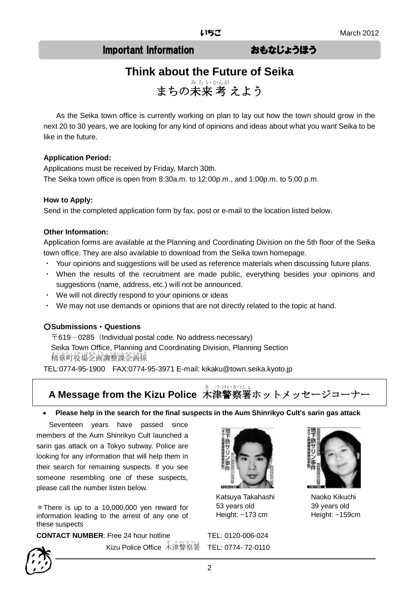## Important Information おもなじょうほう

# **Think about the Future of Seika**

まちの未来 考 えよう

As the Seika town office is currently working on plan to lay out how the town should grow in the next 20 to 30 years, we are looking for any kind of opinions and ideas about what you want Seika to be like in the future.

#### **Application Period:**

Applications must be received by Friday, March 30th. The Seika town office is open from 8:30a.m. to 12:00p.m., and 1:00p.m. to 5:00 p.m.

#### **How to Apply:**

Send in the completed application form by fax, post or e-mail to the location listed below.

#### **Other Information:**

Application forms are available at the Planning and Coordinating Division on the 5th floor of the Seika town office. They are also available to download from the Seika town homepage.

- ・ Your opinions and suggestions will be used as reference materials when discussing future plans.
- ・ When the results of the recruitment are made public, everything besides your opinions and suggestions (name, address, etc.) will not be announced.
- ・ We will not directly respond to your opinions or ideas
- We may not use demands or opinions that are not directly related to the topic at hand.

#### ○**Submissions**・**Questions**

 $\overline{\mathsf{T}}$ 619-0285 (Individual postal code. No address necessary) Seika Town Office, Planning and Coordinating Division, Planning Section まいかもいまうまいかきかくがかり<br>**精華町役場企画調整課企画係** 

TEL:0774-95-1900 FAX:0774-95-3971 E-mail: kikaku@town.seika.kyoto.jp

# **A Message from the Kizu Police** 木津警察署ホットメッセージコーナー

#### **Please help in the search for the final suspects in the Aum Shinrikyo Cult's sarin gas attack**

Seventeen years have passed since members of the Aum Shinrikyo Cult launched a sarin gas attack on a Tokyo subway. Police are looking for any information that will help them in their search for remaining suspects. If you see someone resembling one of these suspects, please call the number listen below.

 $*$ There is up to a 10,000,000 ven reward for information leading to the arrest of any one of these suspects

**CONTACT NUMBER:** Free 24 hour hotline TEL: 0120-006-024

Kizu Police Office 木津警察署



Katsuya Takahashi 53 years old Height: ~173 cm

TEL: 0774- 72-0110



Naoko Kikuchi 39 years old Height: ~159cm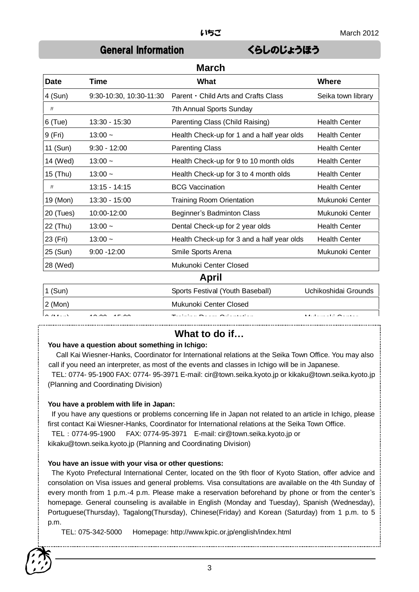**March**

## General Information くらしのじょうほう

| March     |                         |                                            |                      |
|-----------|-------------------------|--------------------------------------------|----------------------|
| Date      | Time                    | What                                       | <b>Where</b>         |
| $4$ (Sun) | 9:30-10:30, 10:30-11:30 | Parent · Child Arts and Crafts Class       | Seika town library   |
| IJ        |                         | 7th Annual Sports Sunday                   |                      |
| $6$ (Tue) | $13:30 - 15:30$         | Parenting Class (Child Raising)            | <b>Health Center</b> |
| 9 (Fri)   | $13:00 -$               | Health Check-up for 1 and a half year olds | <b>Health Center</b> |
| 11 (Sun)  | $9:30 - 12:00$          | <b>Parenting Class</b>                     | <b>Health Center</b> |
| 14 (Wed)  | $13:00 -$               | Health Check-up for 9 to 10 month olds     | <b>Health Center</b> |
| 15 (Thu)  | $13:00 -$               | Health Check-up for 3 to 4 month olds      | <b>Health Center</b> |
| IJ        | 13:15 - 14:15           | <b>BCG Vaccination</b>                     | <b>Health Center</b> |
| 19 (Mon)  | 13:30 - 15:00           | <b>Training Room Orientation</b>           | Mukunoki Center      |
| 20 (Tues) | 10:00-12:00             | Beginner's Badminton Class                 | Mukunoki Center      |
| 22 (Thu)  | $13:00 -$               | Dental Check-up for 2 year olds            | <b>Health Center</b> |
| 23 (Fri)  | $13:00 -$               | Health Check-up for 3 and a half year olds | <b>Health Center</b> |
| 25 (Sun)  | $9:00 - 12:00$          | Smile Sports Arena                         | Mukunoki Center      |
| 28 (Wed)  |                         | Mukunoki Center Closed                     |                      |
|           |                         | April                                      |                      |
| $1$ (Sun) |                         | Sports Festival (Youth Baseball)           | Uchikoshidai Grounds |

| $1$ (Sun)                                                    | Sports Festival (Youth Baseball)                   | Uchikoshidai Grounds |
|--------------------------------------------------------------|----------------------------------------------------|----------------------|
| $2$ (Mon)                                                    | Mukunoki Center Closed                             |                      |
| $\sim$ $\mu$ $\sim$<br>$\overline{10000}$ $\overline{10000}$ | $  -$<br>$\sim$ $\sim$ $\sim$ $\sim$ $\sim$ $\sim$ | $\cdots$ $\sim$<br>. |

### **What to do if…**

#### **You have a question about something in Ichigo:**

Call Kai Wiesner-Hanks, Coordinator for International relations at the Seika Town Office. You may also call if you need an interpreter, as most of the events and classes in Ichigo will be in Japanese.

TEL: 0774- 95-1900 FAX: 0774- 95-3971 E-mail: cir@town.seika.kyoto.jp or kikaku@town.seika.kyoto.jp (Planning and Coordinating Division)

#### **You have a problem with life in Japan:**

If you have any questions or problems concerning life in Japan not related to an article in Ichigo, please first contact Kai Wiesner-Hanks, Coordinator for International relations at the Seika Town Office.

TEL:0774-95-1900 FAX: 0774-95-3971 E-mail: cir@town.seika.kyoto.jp or kikaku@town.seika.kyoto.jp (Planning and Coordinating Division)

#### **You have an issue with your visa or other questions:**

The Kyoto Prefectural International Center, located on the 9th floor of Kyoto Station, offer advice and consolation on Visa issues and general problems. Visa consultations are available on the 4th Sunday of every month from 1 p.m.-4 p.m. Please make a reservation beforehand by phone or from the center's homepage. General counseling is available in English (Monday and Tuesday), Spanish (Wednesday), Portuguese(Thursday), Tagalong(Thursday), Chinese(Friday) and Korean (Saturday) from 1 p.m. to 5 p.m.

TEL: 075-342-5000 Homepage: http://www.kpic.or.jp/english/index.html

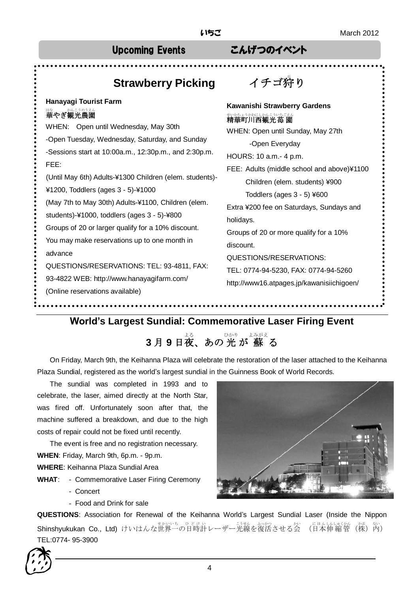# Upcoming Events こんげつのイベント

#### **Strawberry Picking イチゴ狩り Hanayagi Tourist Farm**  はなん、かんこうのうえん<br>**華やぎ観光農園** WHEN: Open until Wednesday, May 30th -Open Tuesday, Wednesday, Saturday, and Sunday -Sessions start at 10:00a.m., 12:30p.m., and 2:30p.m. FEE: (Until May 6th) Adults-¥1300 Children (elem. students)- ¥1200, Toddlers (ages 3 - 5)-¥1000 (May 7th to May 30th) Adults-¥1100, Children (elem. students)-¥1000, toddlers (ages 3 - 5)-¥800 Groups of 20 or larger qualify for a 10% discount. You may make reservations up to one month in advance QUESTIONS/RESERVATIONS: TEL: 93-4811, FAX: 93-4822 WEB: http://www.hanayagifarm.com/ (Online reservations available) **Kawanishi Strawberry Gardens** <sub>がかちょうかわにしかんこういちごえん</sub><br>**精華町川西観光苺 園** WHEN: Open until Sunday, May 27th -Open Everyday HOURS: 10 a.m.- 4 p.m. FEE: Adults (middle school and above)¥1100 Children (elem. students) ¥900 Toddlers (ages 3 - 5) ¥600 Extra ¥200 fee on Saturdays, Sundays and holidays. Groups of 20 or more qualify for a 10% discount. QUESTIONS/RESERVATIONS: TEL: 0774-94-5230, FAX: 0774-94-5260 http://www16.atpages.jp/kawanisiichigoen/

## **World's Largest Sundial: Commemorative Laser Firing Event**

# **3月9日夜、あの光が 蘇る**

On Friday, March 9th, the Keihanna Plaza will celebrate the restoration of the laser attached to the Keihanna Plaza Sundial, registered as the world's largest sundial in the Guinness Book of World Records.

The sundial was completed in 1993 and to celebrate, the laser, aimed directly at the North Star, was fired off. Unfortunately soon after that, the machine suffered a breakdown, and due to the high costs of repair could not be fixed until recently.

The event is free and no registration necessary. **WHEN**: Friday, March 9th, 6p.m. - 9p.m. **WHERE**: Keihanna Plaza Sundial Area

- **WHAT**: Commemorative Laser Firing Ceremony
	- Concert
	- Food and Drink for sale

**QUESTIONS**: Association for Renewal of the Keihanna World's Largest Sundial Laser (Inside the Nippon Shinshyukukan Co., Ltd) けいはんな世界一の日時計レーザージ数を復活させる会 (日本伸縮管(株)内) TEL:0774- 95-3900



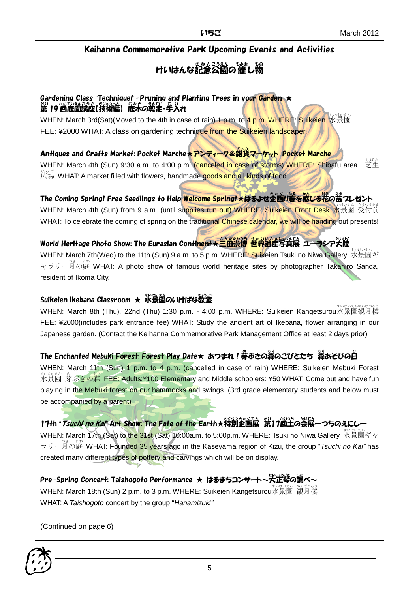### Keihanna Commemorative Park Upcoming Events and Activities

# けいはんな記念公園の催し物

#### Gardening Class "Technique!"-Pruning and Planting Trees in your Garden ★ 第 19 回庭園講座[我稀綸] 庭未の鞍定・手入れ

WHEN: March 3rd(Sat)(Moved to the 4th in case of rain) 1 p.m. to 4 p.m. WHERE: Suikeien 水景園 FEE: ¥2000 WHAT: A class on gardening technique from the Suikeien landscaper./

# Antiques and Crafts Market: Pocket Marche★アンティーク&雑貨マーケット Pocket Marche

WHEN: March 4th (Sun) 9:30 a.m. to 4:00 p.m. (canceled in case of storms) WHERE: Shibafu area 芝生 <sub>ひろ様</sub> WHAT: A market filled with flowers, handmade goods and all kinds of food.

# The Coming Spring! Free Seedlings to Help <mark>Welcome Spring!★はるよせ企画!!暮を感じる</mark>花の<sup>器</sup>っしゼント

WHEN: March 4th (Sun) from 9 a.m. (until supplies run out) WHERE: Suikeien Front Desk 水景園 受付前 WHAT: To celebrate the coming of spring on the traditional Chinese calendar, we will be handing out presents!

#### World Heritage Photo Show: The Eurasian Conti<mark>nent★三田崇博 世界遺産写</mark>貨展 ユーラシア天陸 たいりく

WHEN: March 7th(Wed) to the 11th (Sun) 9 a.m. to 5 p.m. WHERE: Suikeien Tsuki no Niwa Gallery 水景園ギ ャラリー月の庭 WHAT: A photo show of famous world heritage sites by photographer Takahiro Sanda, resident of Ikoma City.

## Suikeien Ikebana Classroom ★ 水景園のいけばな教室

wHEN: March 8th (Thu), 22nd (Thu) 1:30 p.m. - 4:00 p.m. WHERE: Suikeien Kangetsurou水景園観月楼 FEE: ¥2000(includes park entrance fee) WHAT: Study the ancient art of Ikebana, flower arranging in our Japanese garden. (Contact the Keihanna Commemorative Park Management Office at least 2 days prior)

# The Enchanted Mebuki Forest: Forest Play Date★ あつまれ!券ぶきの蒸のこびとたち 蒸あそびの白

WHEN: March 11th (Sun) 1 p.m. to 4 p.m. (cancelled in case of rain) WHERE: Suikeien Mebuki Forest <sub>れの状態</sub>。。<br>水景園 芽ぶきの森 FEE: Adults:¥100 Elementary and Middle schoolers: ¥50 WHAT: Come out and have fun playing in the Mebuki forest on our hammocks and swings. (3rd grade elementary students and below must be accompanied by a parent)

## 17th "*Tsuchi no Kai*" Art Show: The Fate of the Earth★特別企画展 第17尚主の会展一つちのえにしー

WHEN: March 17th (Sat) to the 31st (Sat) 10:00a.m. to 5:00p.m. WHERE: Tsuki no Niwa Gallery 水景園ギャ ラリー月 つき の庭 にわ WHAT: Founded 35 years ago in the Kaseyama region of Kizu, the group "*Tsuchi no Kai"* has created many different types of pottery and carvings which will be on display.

Pre-Spring Concert: Taishogoto Performance ★ はるまちコンサート~大正琴 の調 しら べ~ WHEN: March 18th (Sun) 2 p.m. to 3 p.m. WHERE: Suikeien Kangetsurou水景園 観月楼 WHAT: A *Taishogoto* concert by the group "*Hanamizuki"*

(Continued on page 6)

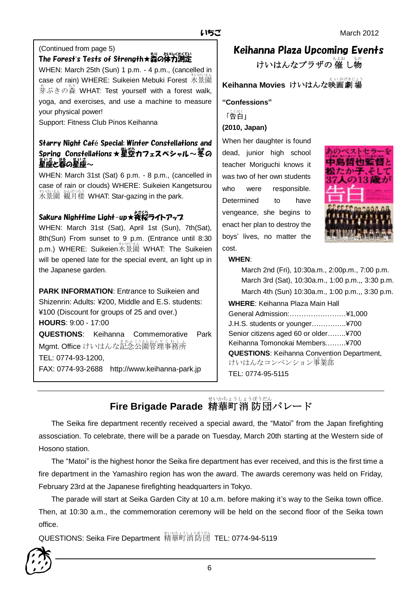#### (Continued from page 5)

# \_<br>The Forest's Tests of Strength★森の体力測定

WHEN: March 25th (Sun) 1 p.m. - 4 p.m., (cancelled in case of rain) WHERE: Suikeien Mebuki Forest 水景園 。<br>芽ぶきの蒸 WHAT: Test yourself with a forest walk, yoga, and exercises, and use a machine to measure your physical power!

Support: Fitness Club Pinos Keihanna

### Starry Night Café Special: Winter Constellations and Spring Constellations★星堂カフェスペシャル~娑の <u>」。</u><br>星座と暮の星座~

WHEN: March 31st (Sat) 6 p.m. - 8 p.m., (cancelled in case of rain or clouds) WHERE: Suikeien Kangetsurou 水景園 すいけいえん 観月楼 かんげつろう WHAT: Star-gazing in the park.

# Sakura Nighttime Light-up★夜桜ライトアップ

WHEN: March 31st (Sat), April 1st (Sun), 7th(Sat), 8th(Sun) From sunset to 9 p.m. (Entrance until 8:30 p.m.) WHERE: Suikeien水景園 WHAT: The Suikeien will be opened late for the special event, an light up in the Japanese garden.

**PARK INFORMATION**: Entrance to Suikeien and Shizenrin: Adults: ¥200, Middle and E.S. students: ¥100 (Discount for groups of 25 and over.) **HOURS**: 9:00 - 17:00 **QUESTIONS**: Keihanna Commemorative Park Mgmt. Office けいはんな記念公園管理事務所 TEL: 0774-93-1200, FAX: 0774-93-2688 http://www.keihanna-park.jp

# Keihanna Plaza Upcoming Events

けいはんなプラザの 催 し物

# **Keihanna Movies けいはんな映画劇場**

**"Confessions"** 「告白」<br>「告白」 **(2010, Japan)**

When her daughter is found dead, junior high school teacher Moriguchi knows it was two of her own students who were responsible. Determined to have vengeance, she begins to enact her plan to destroy the boys' lives, no matter the cost.



#### **WHEN**:

March 2nd (Fri), 10:30a.m., 2:00p.m., 7:00 p.m. March 3rd (Sat), 10:30a.m., 1:00 p.m.,, 3:30 p.m. March 4th (Sun) 10:30a.m., 1:00 p.m.,, 3:30 p.m.

**WHERE**: Keihanna Plaza Main Hall General Admission:……………………¥1,000 J.H.S. students or younger….………..¥700 Senior citizens aged 60 or older……..¥700 Keihanna Tomonokai Members.……..¥700 **QUESTIONS**: Keihanna Convention Department, けいはんなコンベンション事業部 TEL: 0774-95-5115

#### **Fire Brigade Parade** 精華町 消 防 団 パレード せいかちょう しょうぼう だん

The Seika fire department recently received a special award, the "Matoi" from the Japan firefighting assosciation. To celebrate, there will be a parade on Tuesday, March 20th starting at the Western side of Hosono station.

The "Matoi" is the highest honor the Seika fire department has ever received, and this is the first time a fire department in the Yamashiro region has won the award. The awards ceremony was held on Friday, February 23rd at the Japanese firefighting headquarters in Tokyo.

The parade will start at Seika Garden City at 10 a.m. before making it's way to the Seika town office. Then, at 10:30 a.m., the commemoration ceremony will be held on the second floor of the Seika town office.

QUESTIONS: Seika Fire Department 精華町 せいかちょう 消防団 しょうぼうだん TEL: 0774-94-5119

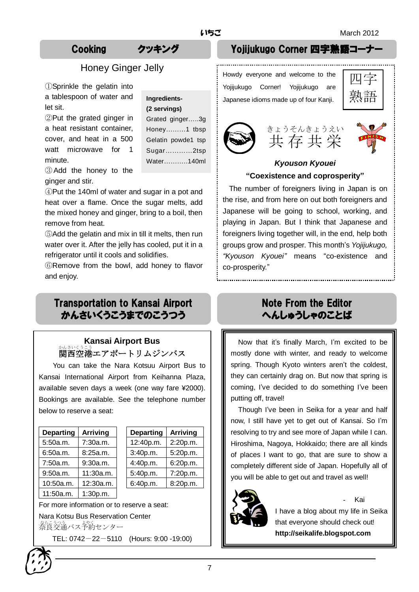## Honey Ginger Jelly

①Sprinkle the gelatin into a tablespoon of water and let sit.

②Put the grated ginger in a heat resistant container, cover, and heat in a 500 watt microwave for 1 minute.

| Ingredients-       |  |  |
|--------------------|--|--|
| (2 servings)       |  |  |
| Grated ginger3g    |  |  |
| Honey1 tbsp        |  |  |
| Gelatin powde1 tsp |  |  |
| Sugar2tsp          |  |  |
| Water140ml         |  |  |
|                    |  |  |

③Add the honey to the ginger and stir.

④Put the 140ml of water and sugar in a pot and heat over a flame. Once the sugar melts, add the mixed honey and ginger, bring to a boil, then remove from heat.

⑤Add the gelatin and mix in till it melts, then run water over it. After the jelly has cooled, put it in a refrigerator until it cools and solidifies.

⑥Remove from the bowl, add honey to flavor and enjoy.

# Transportation to Kansai Airport かんさいくうこうまでのこうつう

## **Kansai Airport Bus** 。<br>関西空港エアポートリムジンバス

You can take the Nara Kotsuu Airport Bus to Kansai International Airport from Keihanna Plaza, available seven days a week (one way fare ¥2000). Bookings are available. See the telephone number below to reserve a seat:

| <b>Departing</b> | <b>Arriving</b> | <b>Departing</b> | <b>Arriving</b> |
|------------------|-----------------|------------------|-----------------|
| 5:50a.m.         | 7:30a.m.        | 12:40p.m.        | 2:20p.m.        |
| 6:50a.m.         | 8:25a.m.        | 3:40p.m.         | 5:20p.m.        |
| 7:50a.m.         | 9:30a.m.        | 4:40p.m.         | 6:20p.m.        |
| 9:50a.m.         | 11:30a.m.       | 5:40p.m.         | 7:20p.m.        |
| 10:50a.m.        | 12:30a.m.       | 6:40p.m.         | 8:20p.m.        |
| 11:50a.m.        | 1:30p.m.        |                  |                 |

| <b>Departing</b> | <b>Arriving</b> |
|------------------|-----------------|
| 12:40p.m.        | 2:20p.m.        |
| 3:40p.m.         | 5:20p.m.        |
| 4:40p.m.         | 6:20p.m.        |
| 5:40p.m.         | 7:20p.m.        |
| 6:40p.m.         | 8:20p.m.        |
|                  |                 |

For more information or to reserve a seat: Nara Kotsu Bus Reservation Center をらえる。<br>奈良交通バス予約センター

TEL: 0742-22-5110 (Hours: 9:00 -19:00)

## Cooking クッキング Yojijukugo Corner 四字熟語コーナー

Howdy everyone and welcome to the Yojijukugo Corner! Yojijukugo are Japanese idioms made up of four Kanji.

| J.                 |  |
|--------------------|--|
| Ξ<br>Г<br>−.<br>亩甘 |  |





#### *Kyouson Kyouei* **"Coexistence and coprosperity"**

The number of foreigners living in Japan is on the rise, and from here on out both foreigners and Japanese will be going to school, working, and playing in Japan. But I think that Japanese and foreigners living together will, in the end, help both groups grow and prosper. This month's *Yojijukugo, "Kyouson Kyouei"* means "co-existence and co-prosperity."

# Note From the Editor へんしゅうしゃのことば

Now that it's finally March, I'm excited to be mostly done with winter, and ready to welcome spring. Though Kyoto winters aren't the coldest, they can certainly drag on. But now that spring is coming, I've decided to do something I've been putting off, travel!

Though I've been in Seika for a year and half now, I still have yet to get out of Kansai. So I'm resolving to try and see more of Japan while I can. Hiroshima, Nagoya, Hokkaido; there are all kinds of places I want to go, that are sure to show a completely different side of Japan. Hopefully all of you will be able to get out and travel as well!



- Kai

I have a blog about my life in Seika that everyone should check out! **http://seikalife.blogspot.com**